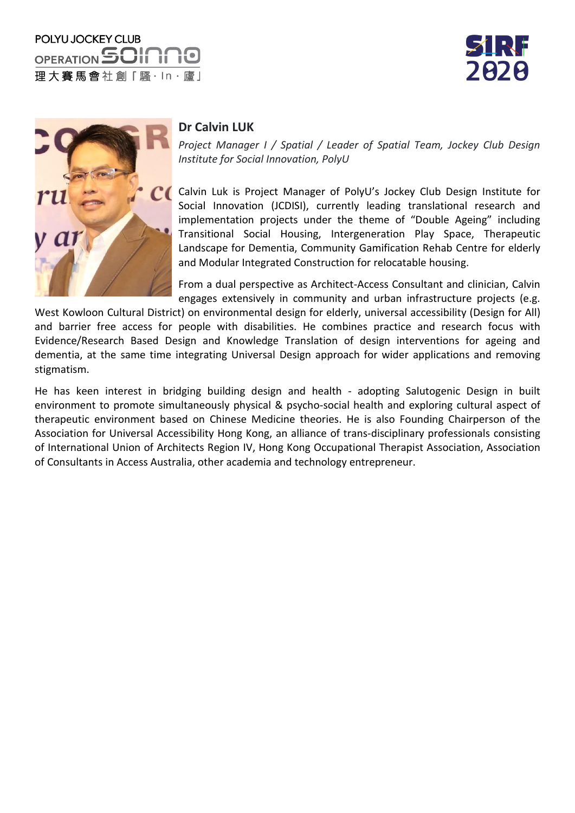





## **Dr Calvin LUK**

*Project Manager I / Spatial / Leader of Spatial Team, Jockey Club Design Institute for Social Innovation, PolyU*

Calvin Luk is Project Manager of PolyU's Jockey Club Design Institute for Social Innovation (JCDISI), currently leading translational research and implementation projects under the theme of "Double Ageing" including Transitional Social Housing, Intergeneration Play Space, Therapeutic Landscape for Dementia, Community Gamification Rehab Centre for elderly and Modular Integrated Construction for relocatable housing.

From a dual perspective as Architect-Access Consultant and clinician, Calvin engages extensively in community and urban infrastructure projects (e.g.

West Kowloon Cultural District) on environmental design for elderly, universal accessibility (Design for All) and barrier free access for people with disabilities. He combines practice and research focus with Evidence/Research Based Design and Knowledge Translation of design interventions for ageing and dementia, at the same time integrating Universal Design approach for wider applications and removing stigmatism.

He has keen interest in bridging building design and health - adopting Salutogenic Design in built environment to promote simultaneously physical & psycho-social health and exploring cultural aspect of therapeutic environment based on Chinese Medicine theories. He is also Founding Chairperson of the Association for Universal Accessibility Hong Kong, an alliance of trans-disciplinary professionals consisting of International Union of Architects Region IV, Hong Kong Occupational Therapist Association, Association of Consultants in Access Australia, other academia and technology entrepreneur.